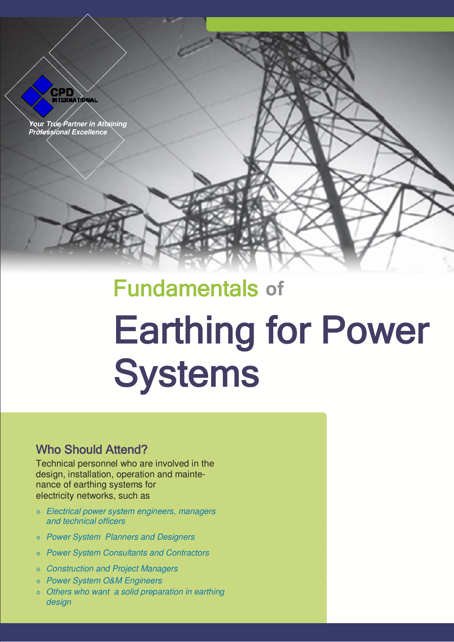

# Fundamentals **of** Earthing for Power **Systems**

## Who Should Attend?

Technical personnel who are involved in the design, installation, operation and maintenance of earthing systems for electricity networks, such as

- ◊ *Electrical power system engineers, managers and technical officers*
- ◊ *Power System Planners and Designers*
- ◊ *Power System Consultants and Contractors*
- ◊ *Construction and Project Managers*
- ◊ *Power System O&M Engineers*
- ◊ *Others who want a solid preparation in earthing design*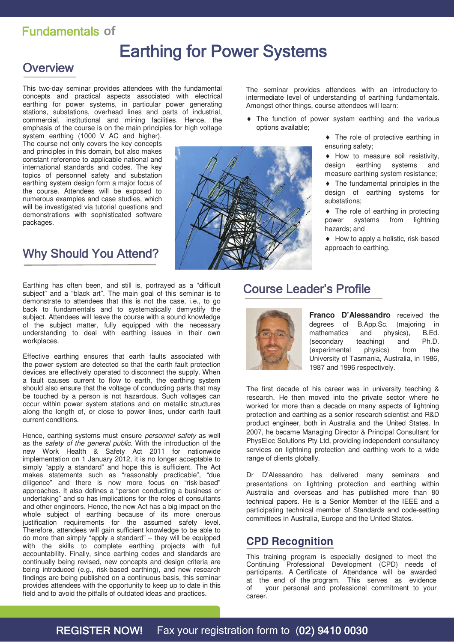## Fundamentals **of**

## Earthing for Power Systems

## **Overview**

This two-day seminar provides attendees with the fundamental concepts and practical aspects associated with electrical earthing for power systems, in particular power generating stations, substations, overhead lines and parts of industrial, commercial, institutional and mining facilities. Hence, the emphasis of the course is on the main principles for high voltage

system earthing (1000 V AC and higher). The course not only covers the key concepts and principles in this domain, but also makes constant reference to applicable national and international standards and codes. The key topics of personnel safety and substation earthing system design form a major focus of the course. Attendees will be exposed to numerous examples and case studies, which will be investigated via tutorial questions and demonstrations with sophisticated software packages.

## Why Should You Attend?

Earthing has often been, and still is, portrayed as a "difficult subject" and a "black art". The main goal of this seminar is to demonstrate to attendees that this is not the case, i.e., to go back to fundamentals and to systematically demystify the subject. Attendees will leave the course with a sound knowledge of the subject matter, fully equipped with the necessary understanding to deal with earthing issues in their own workplaces.

Effective earthing ensures that earth faults associated with the power system are detected so that the earth fault protection devices are effectively operated to disconnect the supply. When a fault causes current to flow to earth, the earthing system should also ensure that the voltage of conducting parts that may be touched by a person is not hazardous. Such voltages can occur within power system stations and on metallic structures along the length of, or close to power lines, under earth fault current conditions.

Hence, earthing systems must ensure *personnel safety* as well as the *safety of the general public*. With the introduction of the new Work Health & Safety Act 2011 for nationwide implementation on 1 January 2012, it is no longer acceptable to simply "apply a standard" and hope this is sufficient. The Act makes statements such as "reasonably practicable", "due diligence" and there is now more focus on "risk-based" approaches. It also defines a "person conducting a business or undertaking" and so has implications for the roles of consultants and other engineers. Hence, the new Act has a big impact on the whole subject of earthing because of its more onerous justification requirements for the assumed safety level. Therefore, attendees will gain sufficient knowledge to be able to do more than simply "apply a standard" – they will be equipped with the skills to complete earthing projects with full accountability. Finally, since earthing codes and standards are continually being revised, new concepts and design criteria are being introduced (e.g., risk-based earthing), and new research findings are being published on a continuous basis, this seminar provides attendees with the opportunity to keep up to date in this field and to avoid the pitfalls of outdated ideas and practices.

The seminar provides attendees with an introductory-tointermediate level of understanding of earthing fundamentals. Amongst other things, course attendees will learn:

- The function of power system earthing and the various options available;
	- The role of protective earthing in ensuring safety;

 How to measure soil resistivity, design earthing systems and measure earthing system resistance;

 The fundamental principles in the design of earthing systems for substations;

• The role of earthing in protecting power systems from lightning hazards; and

◆ How to apply a holistic, risk-based approach to earthing.

## Course Leader's Profile



**Franco D'Alessandro** received the degrees of B.App.Sc. (majoring in<br>mathematics and physics), B.Ed. mathematics and physics), (secondary teaching) and Ph.D. (experimental physics) from the University of Tasmania, Australia, in 1986, 1987 and 1996 respectively.

The first decade of his career was in university teaching & research. He then moved into the private sector where he worked for more than a decade on many aspects of lightning protection and earthing as a senior research scientist and R&D product engineer, both in Australia and the United States. In 2007, he became Managing Director & Principal Consultant for PhysElec Solutions Pty Ltd, providing independent consultancy services on lightning protection and earthing work to a wide range of clients globally.

Dr D'Alessandro has delivered many seminars and presentations on lightning protection and earthing within Australia and overseas and has published more than 80 technical papers. He is a Senior Member of the IEEE and a participating technical member of Standards and code-setting committees in Australia, Europe and the United States.

### **CPD Recognition**

This training program is especially designed to meet the Continuing Professional Development (CPD) needs of participants. A Certificate of Attendance will be awarded at the end of the program. This serves as evidence of your personal and professional commitment to your career.

## REGISTER NOW! Fax your registration form to (02) 9410 0030